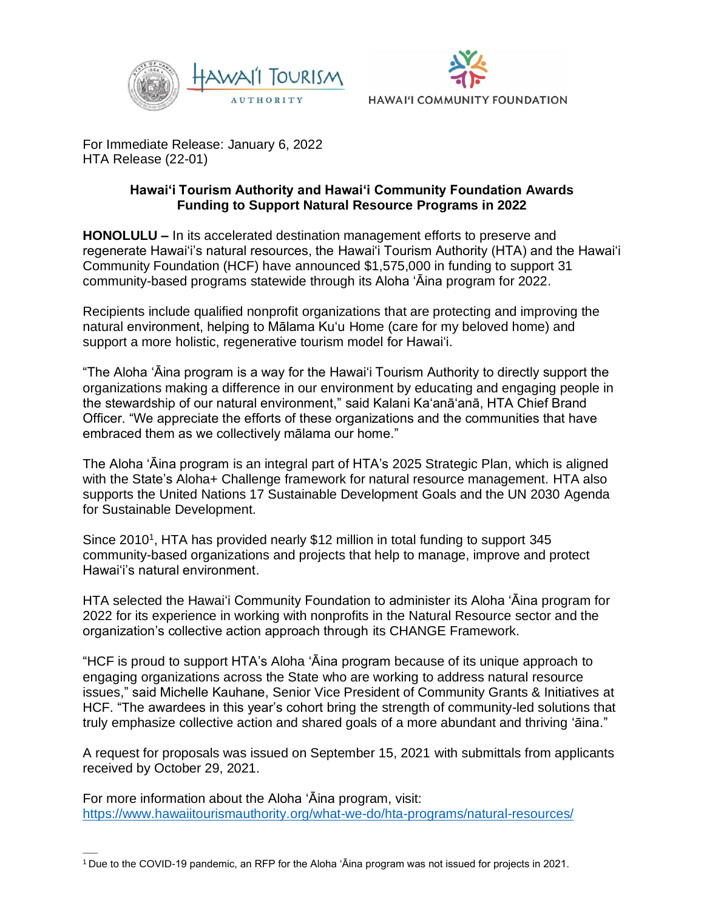



For Immediate Release: January 6, 2022 HTA Release (22-01)

## **Hawai'i Tourism Authority and Hawai'i Community Foundation Awards Funding to Support Natural Resource Programs in 2022**

**HONOLULU –** In its accelerated destination management efforts to preserve and regenerate Hawai'i's natural resources, the Hawai'i Tourism Authority (HTA) and the Hawai'i Community Foundation (HCF) have announced \$1,575,000 in funding to support 31 community-based programs statewide through its Aloha 'Āina program for 2022.

Recipients include qualified nonprofit organizations that are protecting and improving the natural environment, helping to Mālama Ku'u Home (care for my beloved home) and support a more holistic, regenerative tourism model for Hawai'i.

"The Aloha ʻĀina program is a way for the Hawaiʻi Tourism Authority to directly support the organizations making a difference in our environment by educating and engaging people in the stewardship of our natural environment," said Kalani Ka'anā'anā, HTA Chief Brand Officer. "We appreciate the efforts of these organizations and the communities that have embraced them as we collectively mālama our home."

The Aloha 'Āina program is an integral part of HTA's 2025 Strategic Plan, which is aligned with the State's Aloha+ Challenge framework for natural resource management. HTA also supports the United Nations 17 Sustainable Development Goals and the UN 2030 Agenda for Sustainable Development.

Since 2010<sup>1</sup>, HTA has provided nearly \$12 million in total funding to support 345 community-based organizations and projects that help to manage, improve and protect Hawai'i's natural environment.

HTA selected the Hawai'i Community Foundation to administer its Aloha 'Āina program for 2022 for its experience in working with nonprofits in the Natural Resource sector and the organization's collective action approach through its CHANGE Framework.

"HCF is proud to support HTA's Aloha ʻĀina program because of its unique approach to engaging organizations across the State who are working to address natural resource issues," said Michelle Kauhane, Senior Vice President of Community Grants & Initiatives at HCF. "The awardees in this year's cohort bring the strength of community-led solutions that truly emphasize collective action and shared goals of a more abundant and thriving ʻāina."

A request for proposals was issued on September 15, 2021 with submittals from applicants received by October 29, 2021.

For more information about the Aloha 'Āina program, visit: <https://www.hawaiitourismauthority.org/what-we-do/hta-programs/natural-resources/>

 $\overline{\phantom{a}}$ 

<sup>1</sup>Due to the COVID-19 pandemic, an RFP for the Aloha 'Āina program was not issued for projects in 2021.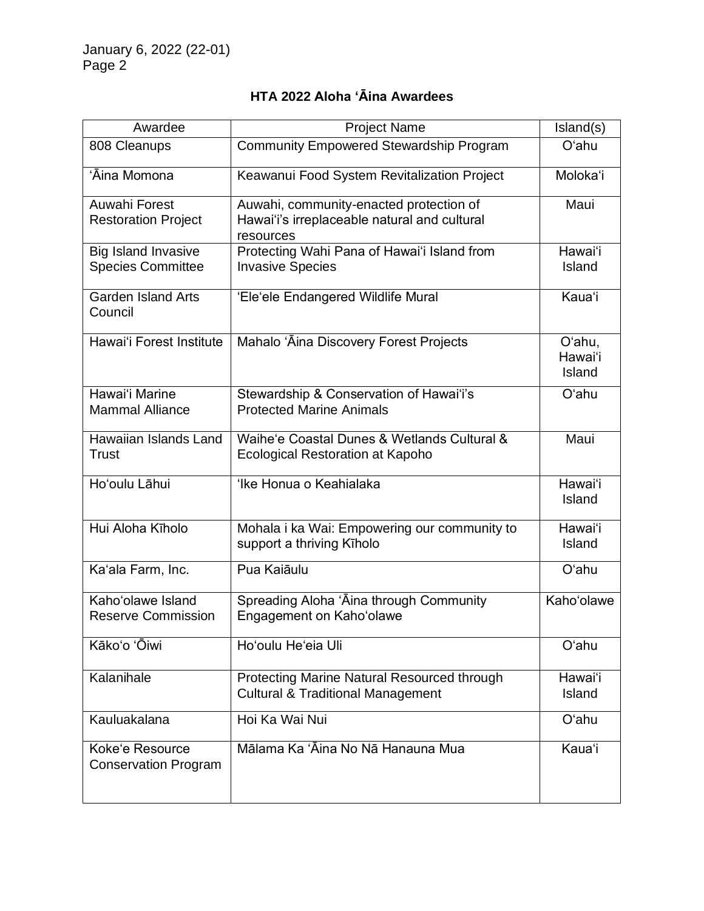# **HTA 2022 Aloha 'Āina Awardees**

| Awardee                                                | <b>Project Name</b>                                                                                  | Island(s)                   |
|--------------------------------------------------------|------------------------------------------------------------------------------------------------------|-----------------------------|
| 808 Cleanups                                           | <b>Community Empowered Stewardship Program</b>                                                       | O'ahu                       |
| 'Āina Momona                                           | Keawanui Food System Revitalization Project                                                          | Moloka'i                    |
| Auwahi Forest<br><b>Restoration Project</b>            | Auwahi, community-enacted protection of<br>Hawai'i's irreplaceable natural and cultural<br>resources | Maui                        |
| <b>Big Island Invasive</b><br><b>Species Committee</b> | Protecting Wahi Pana of Hawai'i Island from<br><b>Invasive Species</b>                               | Hawai'i<br>Island           |
| <b>Garden Island Arts</b><br>Council                   | 'Ele'ele Endangered Wildlife Mural                                                                   | Kaua'i                      |
| Hawai'i Forest Institute                               | Mahalo 'Āina Discovery Forest Projects                                                               | O'ahu,<br>Hawai'i<br>Island |
| Hawai'i Marine<br><b>Mammal Alliance</b>               | Stewardship & Conservation of Hawai'i's<br><b>Protected Marine Animals</b>                           | O'ahu                       |
| Hawaiian Islands Land<br>Trust                         | Waihe'e Coastal Dunes & Wetlands Cultural &<br><b>Ecological Restoration at Kapoho</b>               | Maui                        |
| Ho'oulu Lāhui                                          | 'Ike Honua o Keahialaka                                                                              | Hawai'i<br>Island           |
| Hui Aloha Kīholo                                       | Mohala i ka Wai: Empowering our community to<br>support a thriving Kīholo                            | Hawai'i<br>Island           |
| Ka'ala Farm, Inc.                                      | Pua Kaiāulu                                                                                          | O'ahu                       |
| Kaho'olawe Island<br><b>Reserve Commission</b>         | Spreading Aloha 'Aina through Community<br>Engagement on Kaho'olawe                                  | Kaho'olawe                  |
| Kākoʻo 'Ōiwi                                           | Ho'oulu He'eia Uli                                                                                   | O'ahu                       |
| Kalanihale                                             | Protecting Marine Natural Resourced through<br><b>Cultural &amp; Traditional Management</b>          | Hawai'i<br>Island           |
| Kauluakalana                                           | Hoi Ka Wai Nui                                                                                       | O'ahu                       |
| Koke'e Resource<br><b>Conservation Program</b>         | Mālama Ka 'Āina No Nā Hanauna Mua                                                                    | Kauaʻi                      |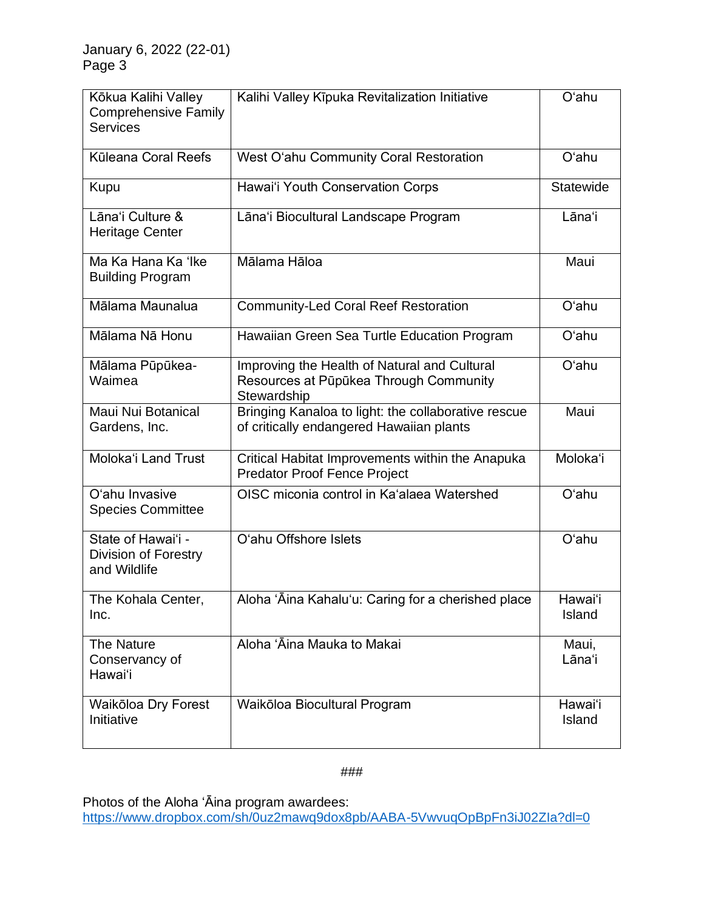| Kōkua Kalihi Valley<br><b>Comprehensive Family</b><br><b>Services</b> | Kalihi Valley Kīpuka Revitalization Initiative                                                        | O'ahu             |
|-----------------------------------------------------------------------|-------------------------------------------------------------------------------------------------------|-------------------|
| Kūleana Coral Reefs                                                   | West O'ahu Community Coral Restoration                                                                | O'ahu             |
| Kupu                                                                  | Hawai'i Youth Conservation Corps                                                                      | Statewide         |
| Lāna'i Culture &<br><b>Heritage Center</b>                            | Lāna'i Biocultural Landscape Program                                                                  | Lāna'i            |
| Ma Ka Hana Ka 'Ike<br><b>Building Program</b>                         | Mālama Hāloa                                                                                          | Maui              |
| Mālama Maunalua                                                       | <b>Community-Led Coral Reef Restoration</b>                                                           | O'ahu             |
| Mālama Nā Honu                                                        | Hawaiian Green Sea Turtle Education Program                                                           | O'ahu             |
| Mālama Pūpūkea-<br>Waimea                                             | Improving the Health of Natural and Cultural<br>Resources at Pūpūkea Through Community<br>Stewardship | O'ahu             |
| Maui Nui Botanical<br>Gardens, Inc.                                   | Bringing Kanaloa to light: the collaborative rescue<br>of critically endangered Hawaiian plants       | Maui              |
| Moloka'i Land Trust                                                   | Critical Habitat Improvements within the Anapuka<br><b>Predator Proof Fence Project</b>               | Moloka'i          |
| O'ahu Invasive<br><b>Species Committee</b>                            | OISC miconia control in Ka'alaea Watershed                                                            | O'ahu             |
| State of Hawai'i -<br>Division of Forestry<br>and Wildlife            | O'ahu Offshore Islets                                                                                 | O'ahu             |
| The Kohala Center,<br>Inc.                                            | Aloha 'Āina Kahalu'u: Caring for a cherished place                                                    | Hawaiʻi<br>Island |
| <b>The Nature</b><br>Conservancy of<br>Hawai'i                        | Aloha 'Āina Mauka to Makai                                                                            | Maui,<br>Lāna'i   |
| Waikōloa Dry Forest<br>Initiative                                     | Waikōloa Biocultural Program                                                                          | Hawai'i<br>Island |

## ###

Photos of the Aloha 'Āina program awardees: [https://www.dropbox.com/sh/0uz2mawq9dox8pb/AABA-5VwvuqOpBpFn3iJ02ZIa?dl=0](https://nam11.safelinks.protection.outlook.com/?url=https%3A%2F%2Fwww.dropbox.com%2Fsh%2F0uz2mawq9dox8pb%2FAABA-5VwvuqOpBpFn3iJ02ZIa%3Fdl%3D0&data=04%7C01%7Cerin.khan%40anthologygroup.com%7C728c91b9dc254515a76608d9d0a1fc8d%7C0e7558ffacd54b0286566e61c570cbb8%7C0%7C0%7C637770218442010137%7CUnknown%7CTWFpbGZsb3d8eyJWIjoiMC4wLjAwMDAiLCJQIjoiV2luMzIiLCJBTiI6Ik1haWwiLCJXVCI6Mn0%3D%7C2000&sdata=3bzqv17rPIdfmRv64Ii0uxm3jne0XAd347MEIOsYKSI%3D&reserved=0)